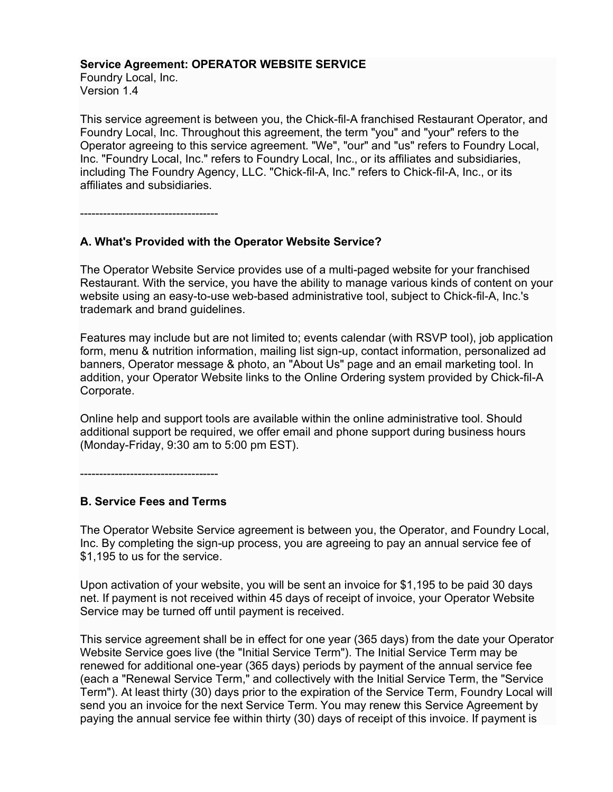#### **Service Agreement: OPERATOR WEBSITE SERVICE**

Foundry Local, Inc. Version 1.4

This service agreement is between you, the Chick-fil-A franchised Restaurant Operator, and Foundry Local, Inc. Throughout this agreement, the term "you" and "your" refers to the Operator agreeing to this service agreement. "We", "our" and "us" refers to Foundry Local, Inc. "Foundry Local, Inc." refers to Foundry Local, Inc., or its affiliates and subsidiaries, including The Foundry Agency, LLC. "Chick-fil-A, Inc." refers to Chick-fil-A, Inc., or its affiliates and subsidiaries.

------------------------------------

# **A. What's Provided with the Operator Website Service?**

The Operator Website Service provides use of a multi-paged website for your franchised Restaurant. With the service, you have the ability to manage various kinds of content on your website using an easy-to-use web-based administrative tool, subject to Chick-fil-A, Inc.'s trademark and brand guidelines.

Features may include but are not limited to; events calendar (with RSVP tool), job application form, menu & nutrition information, mailing list sign-up, contact information, personalized ad banners, Operator message & photo, an "About Us" page and an email marketing tool. In addition, your Operator Website links to the Online Ordering system provided by Chick-fil-A Corporate.

Online help and support tools are available within the online administrative tool. Should additional support be required, we offer email and phone support during business hours (Monday-Friday, 9:30 am to 5:00 pm EST).

------------------------------------

# **B. Service Fees and Terms**

The Operator Website Service agreement is between you, the Operator, and Foundry Local, Inc. By completing the sign-up process, you are agreeing to pay an annual service fee of \$1,195 to us for the service.

Upon activation of your website, you will be sent an invoice for \$1,195 to be paid 30 days net. If payment is not received within 45 days of receipt of invoice, your Operator Website Service may be turned off until payment is received.

This service agreement shall be in effect for one year (365 days) from the date your Operator Website Service goes live (the "Initial Service Term"). The Initial Service Term may be renewed for additional one-year (365 days) periods by payment of the annual service fee (each a "Renewal Service Term," and collectively with the Initial Service Term, the "Service Term"). At least thirty (30) days prior to the expiration of the Service Term, Foundry Local will send you an invoice for the next Service Term. You may renew this Service Agreement by paying the annual service fee within thirty (30) days of receipt of this invoice. If payment is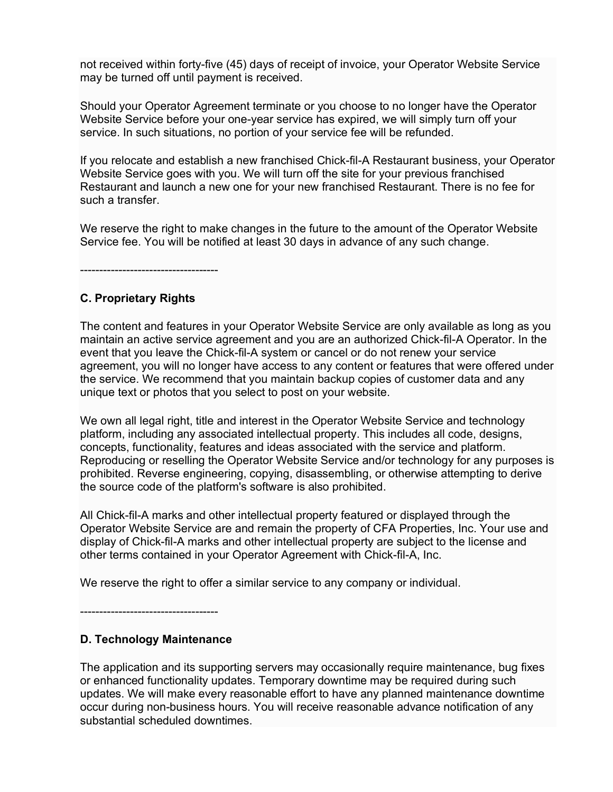not received within forty-five (45) days of receipt of invoice, your Operator Website Service may be turned off until payment is received.

Should your Operator Agreement terminate or you choose to no longer have the Operator Website Service before your one-year service has expired, we will simply turn off your service. In such situations, no portion of your service fee will be refunded.

If you relocate and establish a new franchised Chick-fil-A Restaurant business, your Operator Website Service goes with you. We will turn off the site for your previous franchised Restaurant and launch a new one for your new franchised Restaurant. There is no fee for such a transfer.

We reserve the right to make changes in the future to the amount of the Operator Website Service fee. You will be notified at least 30 days in advance of any such change.

------------------------------------

### **C. Proprietary Rights**

The content and features in your Operator Website Service are only available as long as you maintain an active service agreement and you are an authorized Chick-fil-A Operator. In the event that you leave the Chick-fil-A system or cancel or do not renew your service agreement, you will no longer have access to any content or features that were offered under the service. We recommend that you maintain backup copies of customer data and any unique text or photos that you select to post on your website.

We own all legal right, title and interest in the Operator Website Service and technology platform, including any associated intellectual property. This includes all code, designs, concepts, functionality, features and ideas associated with the service and platform. Reproducing or reselling the Operator Website Service and/or technology for any purposes is prohibited. Reverse engineering, copying, disassembling, or otherwise attempting to derive the source code of the platform's software is also prohibited.

All Chick-fil-A marks and other intellectual property featured or displayed through the Operator Website Service are and remain the property of CFA Properties, Inc. Your use and display of Chick-fil-A marks and other intellectual property are subject to the license and other terms contained in your Operator Agreement with Chick-fil-A, Inc.

We reserve the right to offer a similar service to any company or individual.

------------------------------------

# **D. Technology Maintenance**

The application and its supporting servers may occasionally require maintenance, bug fixes or enhanced functionality updates. Temporary downtime may be required during such updates. We will make every reasonable effort to have any planned maintenance downtime occur during non-business hours. You will receive reasonable advance notification of any substantial scheduled downtimes.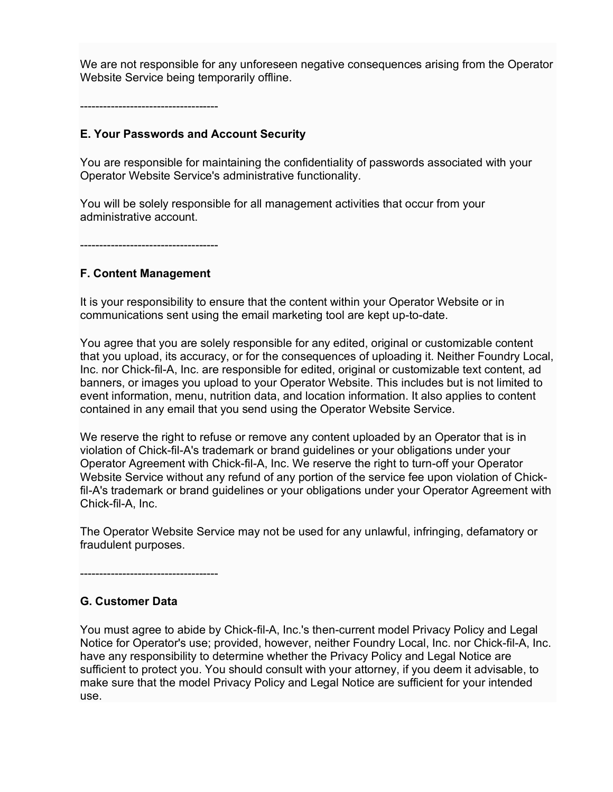We are not responsible for any unforeseen negative consequences arising from the Operator Website Service being temporarily offline.

------------------------------------

## **E. Your Passwords and Account Security**

You are responsible for maintaining the confidentiality of passwords associated with your Operator Website Service's administrative functionality.

You will be solely responsible for all management activities that occur from your administrative account.

------------------------------------

### **F. Content Management**

It is your responsibility to ensure that the content within your Operator Website or in communications sent using the email marketing tool are kept up-to-date.

You agree that you are solely responsible for any edited, original or customizable content that you upload, its accuracy, or for the consequences of uploading it. Neither Foundry Local, Inc. nor Chick-fil-A, Inc. are responsible for edited, original or customizable text content, ad banners, or images you upload to your Operator Website. This includes but is not limited to event information, menu, nutrition data, and location information. It also applies to content contained in any email that you send using the Operator Website Service.

We reserve the right to refuse or remove any content uploaded by an Operator that is in violation of Chick-fil-A's trademark or brand guidelines or your obligations under your Operator Agreement with Chick-fil-A, Inc. We reserve the right to turn-off your Operator Website Service without any refund of any portion of the service fee upon violation of Chickfil-A's trademark or brand guidelines or your obligations under your Operator Agreement with Chick-fil-A, Inc.

The Operator Website Service may not be used for any unlawful, infringing, defamatory or fraudulent purposes.

------------------------------------

# **G. Customer Data**

You must agree to abide by Chick-fil-A, Inc.'s then-current model Privacy Policy and Legal Notice for Operator's use; provided, however, neither Foundry Local, Inc. nor Chick-fil-A, Inc. have any responsibility to determine whether the Privacy Policy and Legal Notice are sufficient to protect you. You should consult with your attorney, if you deem it advisable, to make sure that the model Privacy Policy and Legal Notice are sufficient for your intended use.